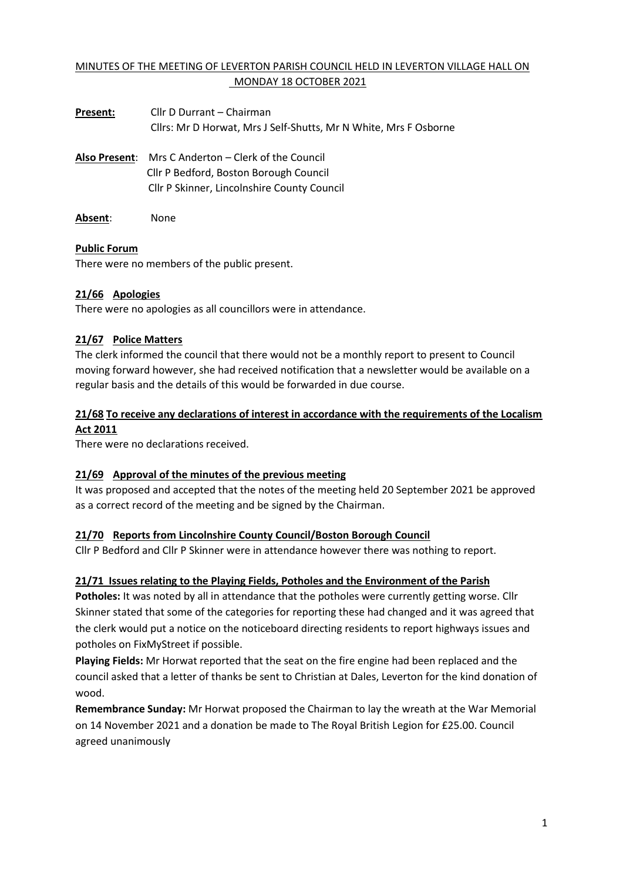### MINUTES OF THE MEETING OF LEVERTON PARISH COUNCIL HELD IN LEVERTON VILLAGE HALL ON MONDAY 18 OCTOBER 2021

| Present: | Cllr D Durrant – Chairman                                        |  |
|----------|------------------------------------------------------------------|--|
|          | Cllrs: Mr D Horwat, Mrs J Self-Shutts, Mr N White, Mrs F Osborne |  |
|          | <b>Also Present:</b> Mrs C Anderton – Clerk of the Council       |  |
|          | Cllr P Bedford, Boston Borough Council                           |  |
|          | <b>Cllr P Skinner, Lincolnshire County Council</b>               |  |
|          |                                                                  |  |

**Absent**: None

#### **Public Forum**

There were no members of the public present.

### **21/66 Apologies**

There were no apologies as all councillors were in attendance.

#### **21/67 Police Matters**

The clerk informed the council that there would not be a monthly report to present to Council moving forward however, she had received notification that a newsletter would be available on a regular basis and the details of this would be forwarded in due course.

# **21/68 To receive any declarations of interest in accordance with the requirements of the Localism Act 2011**

There were no declarations received.

### **21/69 Approval of the minutes of the previous meeting**

It was proposed and accepted that the notes of the meeting held 20 September 2021 be approved as a correct record of the meeting and be signed by the Chairman.

### **21/70 Reports from Lincolnshire County Council/Boston Borough Council**

Cllr P Bedford and Cllr P Skinner were in attendance however there was nothing to report.

### **21/71 Issues relating to the Playing Fields, Potholes and the Environment of the Parish**

**Potholes:** It was noted by all in attendance that the potholes were currently getting worse. Cllr Skinner stated that some of the categories for reporting these had changed and it was agreed that the clerk would put a notice on the noticeboard directing residents to report highways issues and potholes on FixMyStreet if possible.

**Playing Fields:** Mr Horwat reported that the seat on the fire engine had been replaced and the council asked that a letter of thanks be sent to Christian at Dales, Leverton for the kind donation of wood.

**Remembrance Sunday:** Mr Horwat proposed the Chairman to lay the wreath at the War Memorial on 14 November 2021 and a donation be made to The Royal British Legion for £25.00. Council agreed unanimously